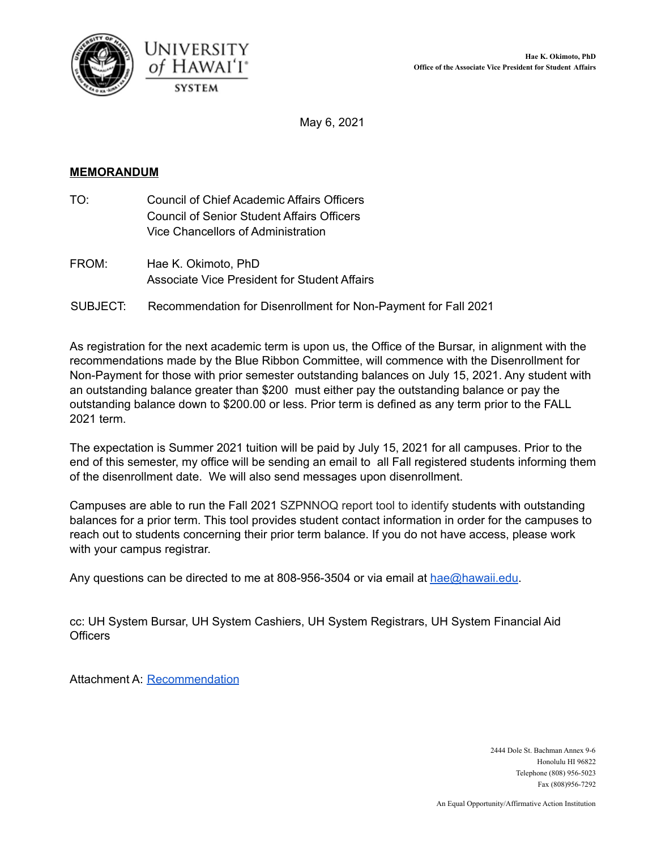



May 6, 2021

### **MEMORANDUM**

- TO: Council of Chief Academic Affairs Officers Council of Senior Student Affairs Officers Vice Chancellors of Administration
- FROM: Hae K. Okimoto, PhD Associate Vice President for Student Affairs
- SUBJECT: Recommendation for Disenrollment for Non-Payment for Fall 2021

As registration for the next academic term is upon us, the Office of the Bursar, in alignment with the recommendations made by the Blue Ribbon Committee, will commence with the Disenrollment for Non-Payment for those with prior semester outstanding balances on July 15, 2021. Any student with an outstanding balance greater than \$200 must either pay the outstanding balance or pay the outstanding balance down to \$200.00 or less. Prior term is defined as any term prior to the FALL 2021 term.

The expectation is Summer 2021 tuition will be paid by July 15, 2021 for all campuses. Prior to the end of this semester, my office will be sending an email to all Fall registered students informing them of the disenrollment date. We will also send messages upon disenrollment.

Campuses are able to run the Fall 2021 SZPNNOQ report tool to identify students with outstanding balances for a prior term. This tool provides student contact information in order for the campuses to reach out to students concerning their prior term balance. If you do not have access, please work with your campus registrar.

Any questions can be directed to me at 808-956-3504 or via email at [hae@hawaii.edu](mailto:Hae@hawaii.edu).

cc: UH System Bursar, UH System Cashiers, UH System Registrars, UH System Financial Aid **Officers** 

Attachment A: [Recommendation](https://drive.google.com/file/d/1hFohk_Fw8u4VQvJuuOXIDxGqUSuIYA92/view?usp=sharing)

2444 Dole St. Bachman Annex 9-6 Honolulu HI 96822 Telephone (808) 956-5023 Fax (808)956-7292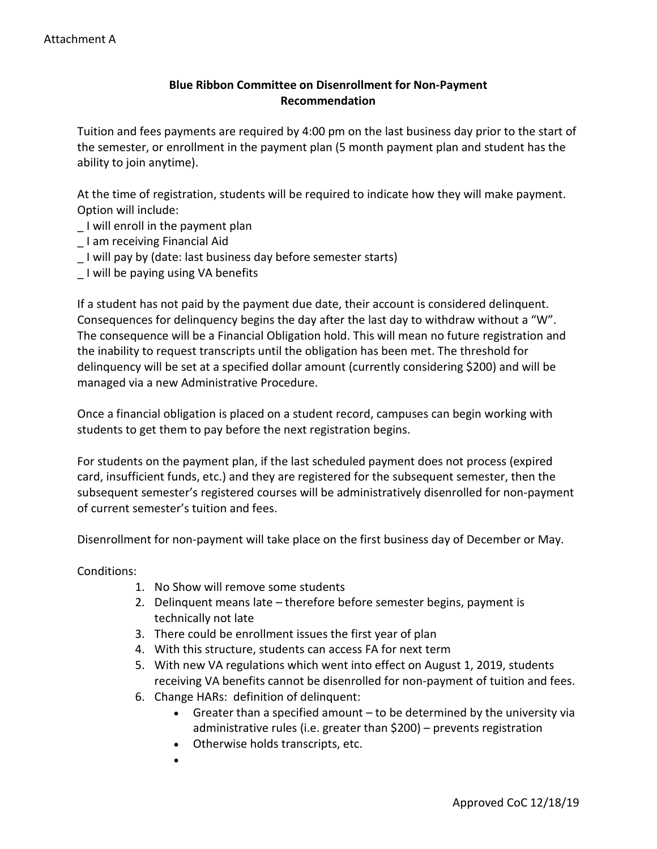## **Blue Ribbon Committee on Disenrollment for Non-Payment Recommendation**

 the semester, or enrollment in the payment plan (5 month payment plan and student has the Tuition and fees payments are required by 4:00 pm on the last business day prior to the start of ability to join anytime).

 At the time of registration, students will be required to indicate how they will make payment. Option will include:

- \_ I will enroll in the payment plan
- \_ I am receiving Financial Aid
- I will pay by (date: last business day before semester starts)
- \_ I will be paying using VA benefits

 the inability to request transcripts until the obligation has been met. The threshold for If a student has not paid by the payment due date, their account is considered delinquent. Consequences for delinquency begins the day after the last day to withdraw without a "W". The consequence will be a Financial Obligation hold. This will mean no future registration and delinquency will be set at a specified dollar amount (currently considering \$200) and will be managed via a new Administrative Procedure.

 students to get them to pay before the next registration begins. Once a financial obligation is placed on a student record, campuses can begin working with

For students on the payment plan, if the last scheduled payment does not process (expired card, insufficient funds, etc.) and they are registered for the subsequent semester, then the subsequent semester's registered courses will be administratively disenrolled for non-payment of current semester's tuition and fees.

Disenrollment for non-payment will take place on the first business day of December or May.

Conditions:

- 1. No Show will remove some students
- 2. Delinquent means late therefore before semester begins, payment is technically not late
- 3. There could be enrollment issues the first year of plan
- 4. With this structure, students can access FA for next term
- 5. With new VA regulations which went into effect on August 1, 2019, students receiving VA benefits cannot be disenrolled for non-payment of tuition and fees.
- 6. Change HARs: definition of delinquent:
	- • Greater than a specified amount to be determined by the university via administrative rules (i.e. greater than \$200) – prevents registration
	- Otherwise holds transcripts, etc.
	- •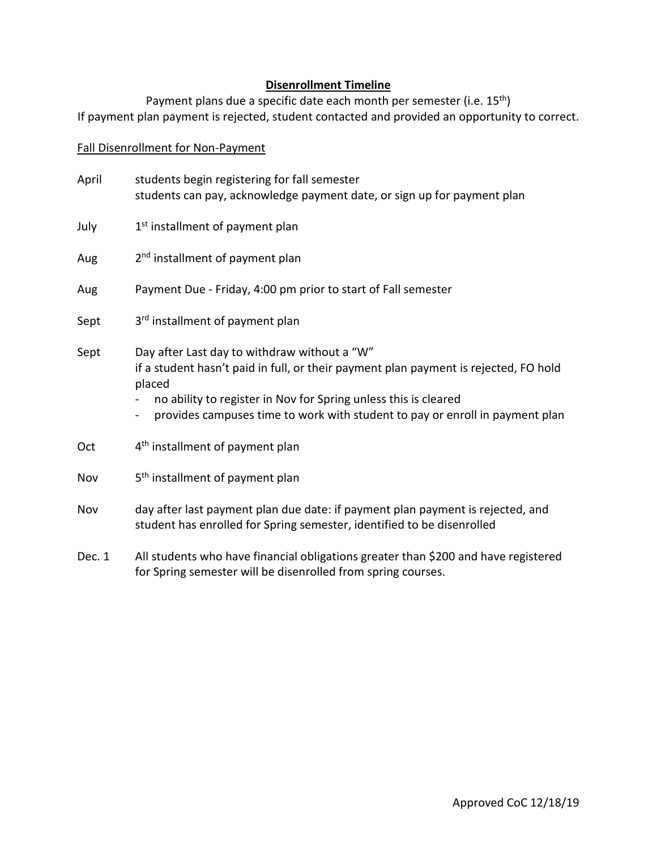## **Disenrollment Timeline**

Payment plans due a specific date each month per semester (i.e. 15<sup>th</sup>) If payment plan payment is rejected, student contacted and provided an opportunity to correct.

### Fall Disenrollment for Non-Payment

| April | students begin registering for fall semester<br>students can pay, acknowledge payment date, or sign up for payment plan                                                                                                                                                                           |
|-------|---------------------------------------------------------------------------------------------------------------------------------------------------------------------------------------------------------------------------------------------------------------------------------------------------|
| July  | 1 <sup>st</sup> installment of payment plan                                                                                                                                                                                                                                                       |
| Aug   | 2 <sup>nd</sup> installment of payment plan                                                                                                                                                                                                                                                       |
| Aug   | Payment Due - Friday, 4:00 pm prior to start of Fall semester                                                                                                                                                                                                                                     |
| Sept  | 3rd installment of payment plan                                                                                                                                                                                                                                                                   |
| Sept  | Day after Last day to withdraw without a "W"<br>if a student hasn't paid in full, or their payment plan payment is rejected, FO hold<br>placed<br>no ability to register in Nov for Spring unless this is cleared<br>provides campuses time to work with student to pay or enroll in payment plan |
| Oct   | 4 <sup>th</sup> installment of payment plan                                                                                                                                                                                                                                                       |
| Nov   | 5 <sup>th</sup> installment of payment plan                                                                                                                                                                                                                                                       |
| Nov   | day after last payment plan due date: if payment plan payment is rejected, and<br>student has enrolled for Spring semester, identified to be disenrolled                                                                                                                                          |

Dec. 1 All students who have financial obligations greater than \$200 and have registered for Spring semester will be disenrolled from spring courses.